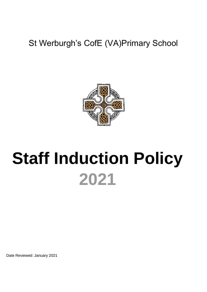## St Werburgh's CofE (VA)Primary School



# **Staff Induction Policy 2021**

Date Reviewed: January 2021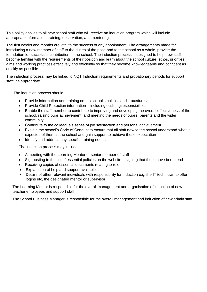This policy applies to all new school staff who will receive an induction program which will include appropriate information, training, observation, and mentoring.

The first weeks and months are vital to the success of any appointment. The arrangements made for introducing a new member of staff to the duties of the post, and to the school as a whole, provide the foundation for successful contribution to the school. The induction process is designed to help new staff become familiar with the requirements of their position and learn about the school culture, ethos, priorities aims and working practices effectively and efficiently so that they become knowledgeable and confident as quickly as possible.

The induction process may be linked to NQT Induction requirements and probationary periods for support staff, as appropriate.

The induction process should:

- Provide information and training on the school's policies and procedures
- Provide Child Protection information including outlining responsibilities
- Enable the staff member to contribute to improving and developing the overall effectiveness of the school, raising pupil achievement, and meeting the needs of pupils, parents and the wider community
- Contribute to the colleague's sense of job satisfaction and personal achievement
- Explain the school's Code of Conduct to ensure that all staff new to the school understand what is expected of them at the school and gain support to achieve those expectation
- Identify and address any specific training needs

The induction process may include:

- A meeting with the Learning Mentor or senior member of staff
- Signposting to the list of essential policies on the website signing that these have been read
- Receiving copies of essential documents relating to role
- Explanation of help and support available
- Details of other relevant individuals with responsibility for induction e.g. the IT technician to offer logins etc, the designated mentor or supervisor

The Learning Mentor is responsible for the overall management and organisation of induction of new teacher employees and support staff

The School Business Manager is responsible for the overall management and induction of new admin staff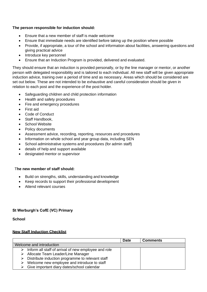#### **The person responsible for induction should:**

- Ensure that a new member of staff is made welcome
- Ensure that immediate needs are identified before taking up the position where possible
- Provide, if appropriate, a tour of the school and information about facilities, answering questions and giving practical advice
- Introduce key personnel
- Ensure that an Induction Program is provided, delivered and evaluated.

They should ensure that an induction is provided personally, or by the line manager or mentor, or another person with delegated responsibility and is tailored to each individual. All new staff will be given appropriate induction advice, training over a period of time and as necessary. Areas which should be considered are set out below. These are not intended to be exhaustive and careful consideration should be given in relation to each post and the experience of the post holder.

- Safeguarding children and child protection information
- Health and safety procedures
- Fire and emergency procedures
- First aid
- Code of Conduct
- Staff Handbook,
- School Website
- Policy documents
- Assessment advice, recording, reporting, resources and procedures
- Information on whole school and year group data, including SEN
- School administrative systems and procedures (for admin staff)
- details of help and support available
- designated mentor or supervisor

#### T**he new member of staff should:**

- Build on strengths, skills, understanding and knowledge
- Keep records to support their professional development
- Attend relevant courses

#### **St Werburgh's CofE (VC) Primary**

**School** 

#### **New Staff Induction Checklist**

|                                                                       | <b>Date</b> | <b>Comments</b> |
|-----------------------------------------------------------------------|-------------|-----------------|
| Welcome and introduction                                              |             |                 |
| $\triangleright$ Inform all staff of arrival of new employee and role |             |                 |
| > Allocate Team Leader/Line Manager                                   |             |                 |
| $\triangleright$ Distribute induction programme to relevant staff     |             |                 |
| Welcome new employee and introduce to staff<br>➤                      |             |                 |
| $\triangleright$ Give important diary dates/school calendar           |             |                 |